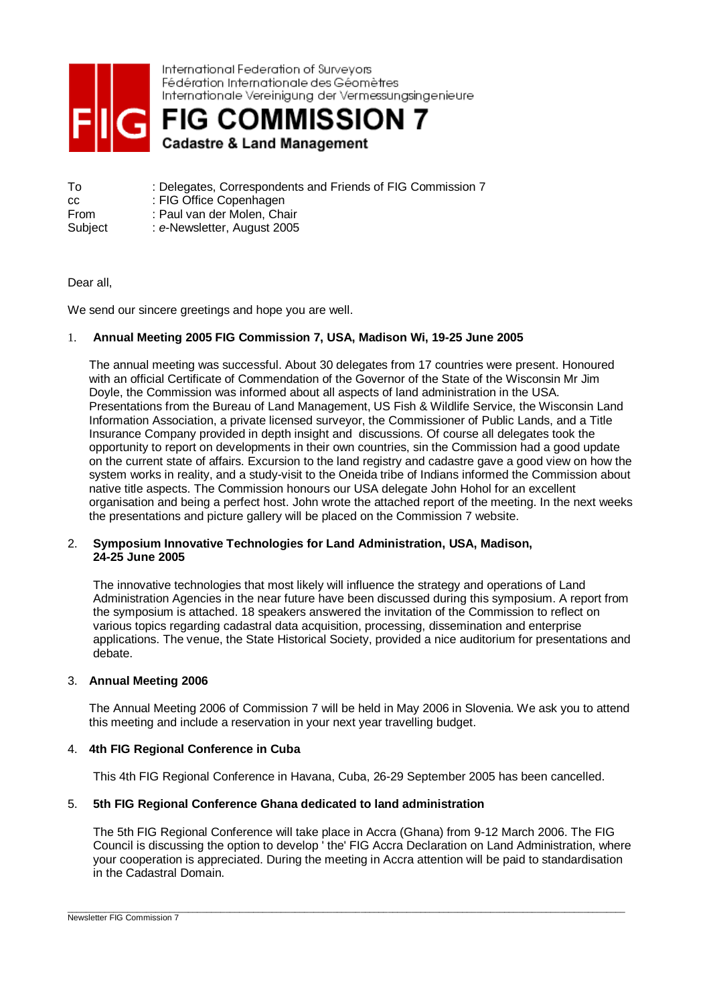

International Federation of Surveyors Fédération Internationale des Géomètres Internationale Vereinigung der Vermessungsingenieure

**FIG COMMISSION 7 Cadastre & Land Management** 

To : Delegates, Correspondents and Friends of FIG Commission 7 cc : FIG Office Copenhagen From : Paul van der Molen, Chair Subject : *e*-Newsletter, August 2005

## Dear all,

We send our sincere greetings and hope you are well.

## 1. **Annual Meeting 2005 FIG Commission 7, USA, Madison Wi, 19-25 June 2005**

The annual meeting was successful. About 30 delegates from 17 countries were present. Honoured with an official Certificate of Commendation of the Governor of the State of the Wisconsin Mr Jim Doyle, the Commission was informed about all aspects of land administration in the USA. Presentations from the Bureau of Land Management, US Fish & Wildlife Service, the Wisconsin Land Information Association, a private licensed surveyor, the Commissioner of Public Lands, and a Title Insurance Company provided in depth insight and discussions. Of course all delegates took the opportunity to report on developments in their own countries, sin the Commission had a good update on the current state of affairs. Excursion to the land registry and cadastre gave a good view on how the system works in reality, and a study-visit to the Oneida tribe of Indians informed the Commission about native title aspects. The Commission honours our USA delegate John Hohol for an excellent organisation and being a perfect host. John wrote the attached report of the meeting. In the next weeks the presentations and picture gallery will be placed on the Commission 7 website.

### 2. **Symposium Innovative Technologies for Land Administration, USA, Madison, 24-25 June 2005**

The innovative technologies that most likely will influence the strategy and operations of Land Administration Agencies in the near future have been discussed during this symposium. A report from the symposium is attached. 18 speakers answered the invitation of the Commission to reflect on various topics regarding cadastral data acquisition, processing, dissemination and enterprise applications. The venue, the State Historical Society, provided a nice auditorium for presentations and debate.

## 3. **Annual Meeting 2006**

The Annual Meeting 2006 of Commission 7 will be held in May 2006 in Slovenia. We ask you to attend this meeting and include a reservation in your next year travelling budget.

## 4. **4th FIG Regional Conference in Cuba**

This 4th FIG Regional Conference in Havana, Cuba, 26-29 September 2005 has been cancelled.

# 5. **5th FIG Regional Conference Ghana dedicated to land administration**

The 5th FIG Regional Conference will take place in Accra (Ghana) from 9-12 March 2006. The FIG Council is discussing the option to develop ' the' FIG Accra Declaration on Land Administration, where your cooperation is appreciated. During the meeting in Accra attention will be paid to standardisation in the Cadastral Domain.

\_\_\_\_\_\_\_\_\_\_\_\_\_\_\_\_\_\_\_\_\_\_\_\_\_\_\_\_\_\_\_\_\_\_\_\_\_\_\_\_\_\_\_\_\_\_\_\_\_\_\_\_\_\_\_\_\_\_\_\_\_\_\_\_\_\_\_\_\_\_\_\_\_\_\_\_\_\_\_\_\_\_\_\_\_\_\_\_\_\_\_\_\_\_\_\_\_\_\_\_\_\_\_\_\_\_\_\_\_\_\_\_\_\_\_\_\_\_\_\_